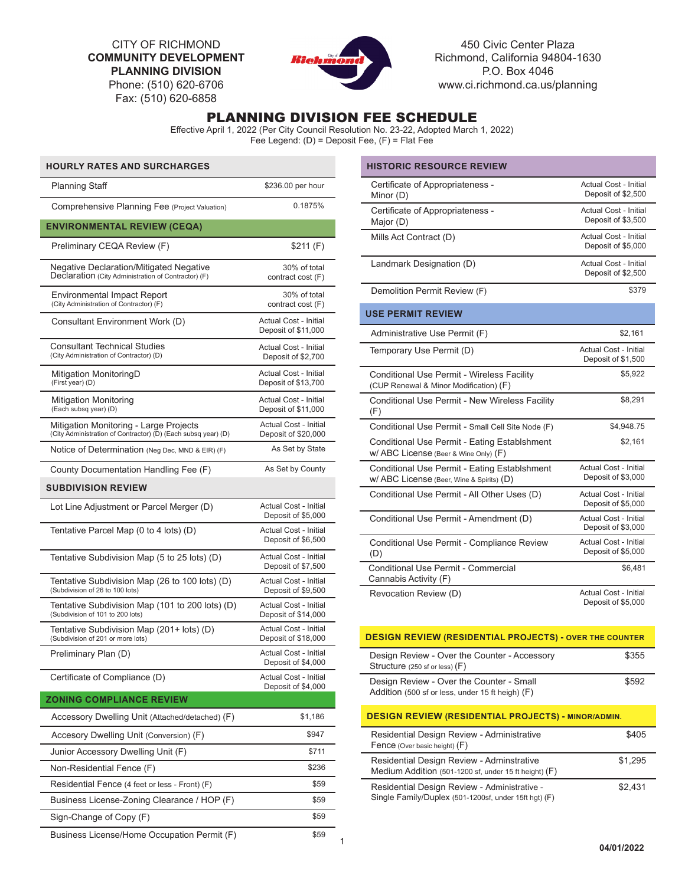CITY OF RICHMOND **COMMUNITY DEVELOPMENT PLANNING DIVISION** Phone: (510) 620-6706

Fax: (510) 620-6858



450 Civic Center Plaza Richmond, California 94804-1630 P.O. Box 4046 www.ci.richmond.ca.us/planning

# PLANNING DIVISION FEE SCHEDULE

Effective April 1, 2022 (Per City Council Resolution No. 23-22, Adopted March 1, 2022) Fee Legend: (D) = Deposit Fee, (F) = Flat Fee

| <b>HOURLY RATES AND SURCHARGES</b>                                                                      |                                                     |   |
|---------------------------------------------------------------------------------------------------------|-----------------------------------------------------|---|
| Planning Staff                                                                                          | \$236.00 per hour                                   |   |
| Comprehensive Planning Fee (Project Valuation)                                                          | 0.1875%                                             |   |
| <b>ENVIRONMENTAL REVIEW (CEQA)</b>                                                                      |                                                     |   |
| Preliminary CEQA Review (F)                                                                             | \$211 (F)                                           |   |
| <b>Negative Declaration/Mitigated Negative</b><br>Declaration (City Administration of Contractor) (F)   | 30% of total<br>contract cost (F)                   |   |
| Environmental Impact Report<br>(City Administration of Contractor) (F)                                  | 30% of total<br>contract cost (F)                   |   |
| Consultant Environment Work (D)                                                                         | Actual Cost - Initial<br>Deposit of \$11,000        |   |
| <b>Consultant Technical Studies</b><br>(City Administration of Contractor) (D)                          | Actual Cost - Initial<br>Deposit of \$2,700         |   |
| Mitigation MonitoringD<br>(First year) (D)                                                              | Actual Cost - Initial<br>Deposit of \$13,700        |   |
| Mitigation Monitoring<br>(Each subsq year) (D)                                                          | <b>Actual Cost - Initial</b><br>Deposit of \$11,000 |   |
| Mitigation Monitoring - Large Projects<br>(City Administration of Contractor) (D) (Each subsq year) (D) | Actual Cost - Initial<br>Deposit of \$20,000        |   |
| Notice of Determination (Neg Dec, MND & EIR) $(F)$                                                      | As Set by State                                     |   |
| County Documentation Handling Fee (F)                                                                   | As Set by County                                    |   |
| <b>SUBDIVISION REVIEW</b>                                                                               |                                                     |   |
| Lot Line Adjustment or Parcel Merger (D)                                                                | Actual Cost - Initial<br>Deposit of \$5,000         |   |
| Tentative Parcel Map (0 to 4 lots) (D)                                                                  | Actual Cost - Initial<br>Deposit of \$6,500         |   |
| Tentative Subdivision Map (5 to 25 lots) (D)                                                            | Actual Cost - Initial<br>Deposit of \$7,500         |   |
| Tentative Subdivision Map (26 to 100 lots) (D)<br>(Subdivision of 26 to 100 lots)                       | Actual Cost - Initial<br>Deposit of \$9,500         |   |
| Tentative Subdivision Map (101 to 200 lots) (D)<br>(Subdivision of 101 to 200 lots)                     | Actual Cost - Initial<br>Deposit of \$14,000        |   |
| Tentative Subdivision Map (201+ lots) (D)<br>(Subdivision of 201 or more lots)                          | <b>Actual Cost - Initial</b><br>Deposit of \$18,000 |   |
| Preliminary Plan (D)                                                                                    | <b>Actual Cost - Initial</b><br>Deposit of \$4,000  |   |
| Certificate of Compliance (D)                                                                           | Actual Cost - Initial<br>Deposit of \$4,000         |   |
| <b>ZONING COMPLIANCE REVIEW</b>                                                                         |                                                     |   |
| Accessory Dwelling Unit (Attached/detached) (F)                                                         | \$1,186                                             |   |
| Accesory Dwelling Unit (Conversion) (F)                                                                 | \$947                                               |   |
| Junior Accessory Dwelling Unit (F)                                                                      | \$711                                               |   |
| Non-Residential Fence (F)                                                                               | \$236                                               |   |
| Residential Fence (4 feet or less - Front) (F)                                                          | \$59                                                |   |
| Business License-Zoning Clearance / HOP (F)                                                             | \$59                                                |   |
| Sign-Change of Copy (F)                                                                                 | \$59                                                |   |
| Business License/Home Occupation Permit (F)                                                             | \$59                                                | 1 |

| <b>HISTORIC RESOURCE REVIEW</b>                                                           |                                                    |
|-------------------------------------------------------------------------------------------|----------------------------------------------------|
| Certificate of Appropriateness -<br>Minor (D)                                             | Actual Cost - Initial<br>Deposit of \$2,500        |
| Certificate of Appropriateness -<br>Major (D)                                             | <b>Actual Cost - Initial</b><br>Deposit of \$3,500 |
| Mills Act Contract (D)                                                                    | <b>Actual Cost - Initial</b><br>Deposit of \$5,000 |
| Landmark Designation (D)                                                                  | <b>Actual Cost - Initial</b><br>Deposit of \$2,500 |
| Demolition Permit Review (F)                                                              | \$379                                              |
| <b>USE PERMIT REVIEW</b>                                                                  |                                                    |
| Administrative Use Permit (F)                                                             | \$2,161                                            |
| Temporary Use Permit (D)                                                                  | Actual Cost - Initial<br>Deposit of \$1,500        |
| Conditional Use Permit - Wireless Facility<br>(CUP Renewal & Minor Modification) (F)      | \$5,922                                            |
| Conditional Use Permit - New Wireless Facility<br>(F)                                     | \$8,291                                            |
| Conditional Use Permit - Small Cell Site Node (F)                                         | \$4,948.75                                         |
| Conditional Use Permit - Eating Establshment<br>W/ ABC License (Beer & Wine Only) (F)     | \$2,161                                            |
| Conditional Use Permit - Eating Establshment<br>W/ ABC License (Beer, Wine & Spirits) (D) | Actual Cost - Initial<br>Deposit of \$3,000        |
| Conditional Use Permit - All Other Uses (D)                                               | <b>Actual Cost - Initial</b><br>Deposit of \$5,000 |
| Conditional Use Permit - Amendment (D)                                                    | <b>Actual Cost - Initial</b><br>Deposit of \$3,000 |
| Conditional Use Permit - Compliance Review<br>(D)                                         | <b>Actual Cost - Initial</b><br>Deposit of \$5,000 |
| Conditional Use Permit - Commercial<br>Cannabis Activity (F)                              | \$6,481                                            |
| Revocation Review (D)                                                                     | Actual Cost - Initial<br>Deposit of \$5,000        |

| <b>DESIGN REVIEW (RESIDENTIAL PROJECTS) - OVER THE COUNTER</b>                                        |         |  |
|-------------------------------------------------------------------------------------------------------|---------|--|
| Design Review - Over the Counter - Accessory<br>Structure (250 sf or less) (F)                        | \$355   |  |
| Design Review - Over the Counter - Small<br>Addition (500 sf or less, under 15 ft heigh) (F)          | \$592   |  |
| <b>DESIGN REVIEW (RESIDENTIAL PROJECTS) - MINOR/ADMIN.</b>                                            |         |  |
| Residential Design Review - Administrative<br>Fence (Over basic height) (F)                           | \$405   |  |
| Residential Design Review - Adminstrative<br>Medium Addition (501-1200 sf, under 15 ft height) (F)    | \$1.295 |  |
| Residential Design Review - Administrative -<br>Single Family/Duplex (501-1200sf, under 15ft hgt) (F) | \$2.431 |  |